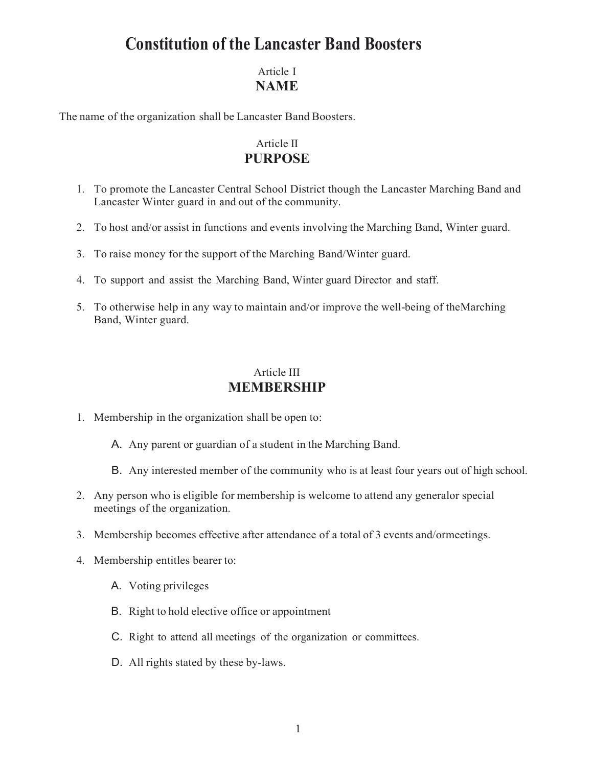### Article I **NAME**

The name of the organization shall be Lancaster Band Boosters.

## Article II **PURPOSE**

- 1. To promote the Lancaster Central School District though the Lancaster Marching Band and Lancaster Winter guard in and out of the community.
- 2. To host and/or assist in functions and events involving the Marching Band, Winter guard.
- 3. To raise money for the support of the Marching Band/Winter guard.
- 4. To support and assist the Marching Band, Winter guard Director and staff.
- 5. To otherwise help in any way to maintain and/or improve the well-being of theMarching Band, Winter guard.

### Article III **MEMBERSHIP**

- 1. Membership in the organization shall be open to:
	- A. Any parent or guardian of a student in the Marching Band.
	- B. Any interested member of the community who is at least four years out of high school.
- 2. Any person who is eligible for membership is welcome to attend any generalor special meetings of the organization.
- 3. Membership becomes effective after attendance of a total of 3 events and/ormeetings.
- 4. Membership entitles bearer to:
	- A. Voting privileges
	- B. Right to hold elective office or appointment
	- C. Right to attend all meetings of the organization or committees.
	- D. All rights stated by these by-laws.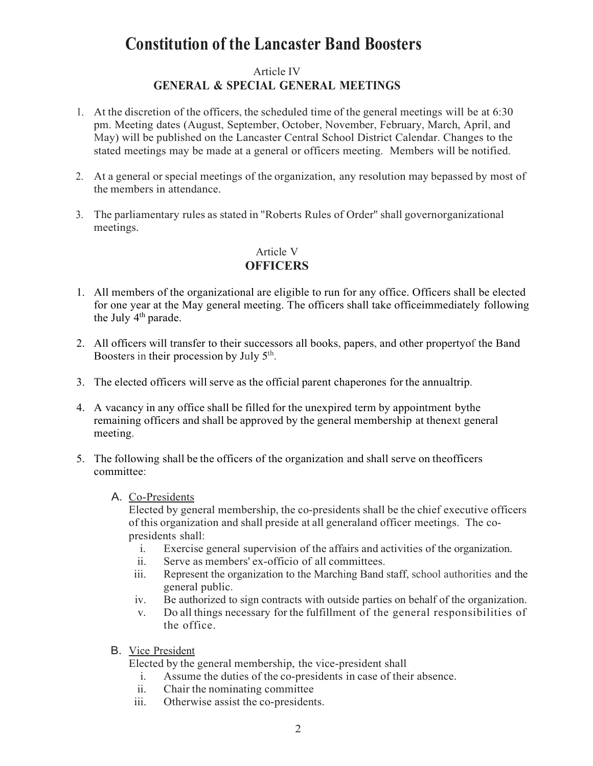### Article IV **GENERAL & SPECIAL GENERAL MEETINGS**

- 1. At the discretion of the officers, the scheduled time of the general meetings will be at 6:30 pm. Meeting dates (August, September, October, November, February, March, April, and May) will be published on the Lancaster Central School District Calendar. Changes to the stated meetings may be made at a general or officers meeting. Members will be notified.
- 2. At a general or special meetings of the organization, any resolution may bepassed by most of the members in attendance.
- 3. The parliamentary rules as stated in "Roberts Rules of Order'' shall governorganizational meetings.

### Article V

### **OFFICERS**

- 1. All members of the organizational are eligible to run for any office. Officers shall be elected for one year at the May general meeting. The officers shall take officeimmediately following the July  $4<sup>th</sup>$  parade.
- 2. All officers will transfer to their successors all books, papers, and other propertyof the Band Boosters in their procession by July 5<sup>th</sup>.
- 3. The elected officers will serve as the official parent chaperones for the annualtrip.
- 4. A vacancy in any office shall be filled for the unexpired term by appointment bythe remaining officers and shall be approved by the general membership at thenext general meeting.
- 5. The following shall be the officers of the organization and shall serve on theofficers committee:

#### A. Co-Presidents

Elected by general membership, the co-presidents shall be the chief executive officers of this organization and shall preside at all generaland officer meetings. The copresidents shall:

- i. Exercise general supervision of the affairs and activities of the organization.
- ii. Serve as members' ex-officio of all committees.
- iii. Represent the organization to the Marching Band staff, school authorities and the general public.
- iv. Be authorized to sign contracts with outside parties on behalf of the organization.
- v. Do all things necessary for the fulfillment of the general responsibilities of the office.
- B. Vice President

Elected by the general membership, the vice-president shall

- i. Assume the duties of the co-presidents in case of their absence.
- ii. Chair the nominating committee
- iii. Otherwise assist the co-presidents.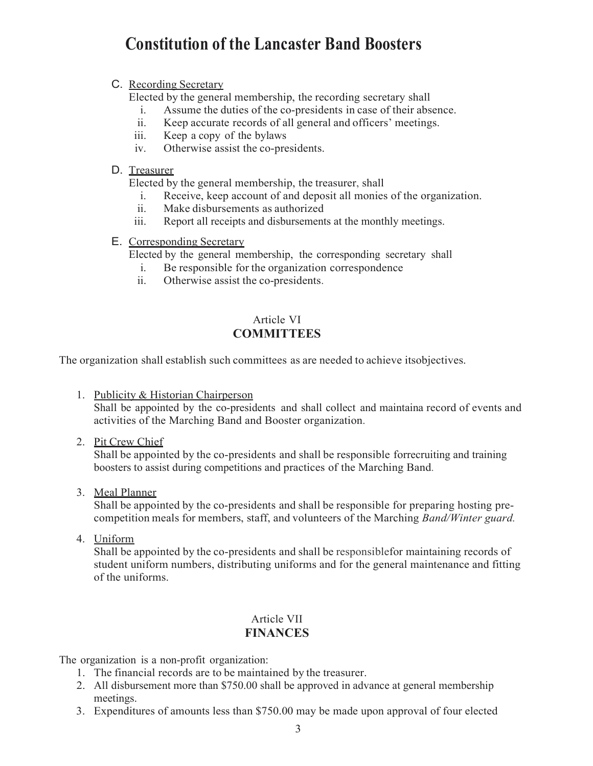#### C. Recording Secretary

Elected by the general membership, the recording secretary shall

- i. Assume the duties of the co-presidents in case of their absence.<br>ii. Keep accurate records of all general and officers' meetings.
- Keep accurate records of all general and officers' meetings.
- iii. Keep a copy of the bylaws
- iv. Otherwise assist the co-presidents.

### D. Treasurer

Elected by the general membership, the treasurer, shall

- i. Receive, keep account of and deposit all monies of the organization.
- ii. Make disbursements as authorized
- iii. Report all receipts and disbursements at the monthly meetings.

#### E. Corresponding Secretary

Elected by the general membership, the corresponding secretary shall

- i. Be responsible for the organization correspondence
- ii. Otherwise assist the co-presidents.

### Article VI **COMMITTEES**

The organization shall establish such committees as are needed to achieve itsobjectives.

1. Publicity & Historian Chairperson

Shall be appointed by the co-presidents and shall collect and maintaina record of events and activities of the Marching Band and Booster organization.

2. Pit Crew Chief

Shall be appointed by the co-presidents and shall be responsible forrecruiting and training boosters to assist during competitions and practices of the Marching Band.

3. Meal Planner

Shall be appointed by the co-presidents and shall be responsible for preparing hosting precompetition meals for members, staff, and volunteers of the Marching *Band/Winter guard.*

4. Uniform

Shall be appointed by the co-presidents and shall be responsiblefor maintaining records of student uniform numbers, distributing uniforms and for the general maintenance and fitting of the uniforms.

### Article VII **FINANCES**

The organization is a non-profit organization:

- 1. The financial records are to be maintained by the treasurer.
- 2. All disbursement more than \$750.00 shall be approved in advance at general membership meetings.
- 3. Expenditures of amounts less than \$750.00 may be made upon approval of four elected